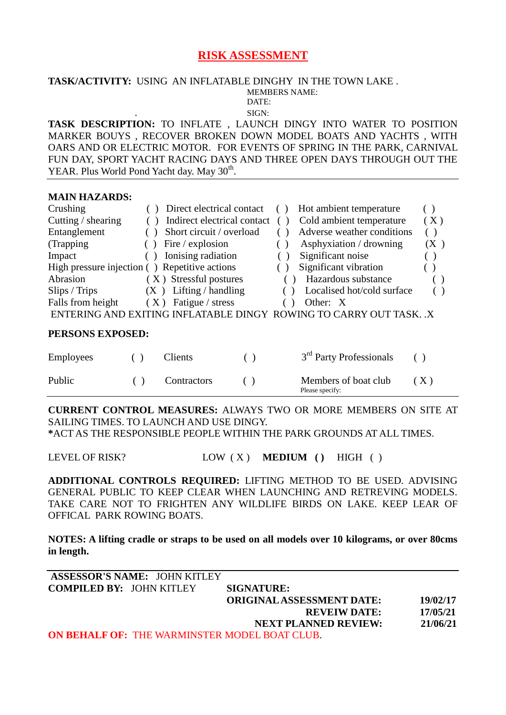## **RISK ASSESSMENT**

#### **TASK/ACTIVITY:** USING AN INFLATABLE DINGHY IN THE TOWN LAKE . MEMBERS NAME:<br>DATE: DATE:

. SIGN:

**TASK DESCRIPTION:** TO INFLATE , LAUNCH DINGY INTO WATER TO POSITION MARKER BOUYS , RECOVER BROKEN DOWN MODEL BOATS AND YACHTS , WITH OARS AND OR ELECTRIC MOTOR. FOR EVENTS OF SPRING IN THE PARK, CARNIVAL FUN DAY, SPORT YACHT RACING DAYS AND THREE OPEN DAYS THROUGH OUT THE YEAR. Plus World Pond Yacht day. May 30<sup>th</sup>.

#### **MAIN HAZARDS:**

| Crushing           | Direct electrical contact                                          | Hot ambient temperature    |     |
|--------------------|--------------------------------------------------------------------|----------------------------|-----|
| Cutting / shearing | Indirect electrical contact                                        | Cold ambient temperature   | (X) |
| Entanglement       | Short circuit / overload                                           | Adverse weather conditions | ( ) |
| (Trapping)         | Fire / explosion                                                   | Asphyxiation / drowning    | (X) |
| Impact             | Ionising radiation                                                 | Significant noise          |     |
|                    | High pressure injection () Repetitive actions                      | Significant vibration      |     |
| Abrasion           | (X) Stressful postures                                             | Hazardous substance        |     |
| Slips / Trips      | $(X)$ Lifting / handling                                           | Localised hot/cold surface |     |
| Falls from height  | $(X)$ Fatigue / stress                                             | Other: X                   |     |
|                    | ENTERING AND EXITING INFLATABLE DINGY ROWING TO CARRY OUT TASK. .X |                            |     |

#### **PERSONS EXPOSED:**

| <b>Employees</b> | Clients            | 3 <sup>rd</sup> Party Professionals     |     |
|------------------|--------------------|-----------------------------------------|-----|
| Public           | <b>Contractors</b> | Members of boat club<br>Please specify: | (X) |

**CURRENT CONTROL MEASURES:** ALWAYS TWO OR MORE MEMBERS ON SITE AT SAILING TIMES. TO LAUNCH AND USE DINGY.

**\***ACT AS THE RESPONSIBLE PEOPLE WITHIN THE PARK GROUNDS AT ALL TIMES.

LEVEL OF RISK? LOW (X) **MEDIUM** () HIGH ()

**ADDITIONAL CONTROLS REQUIRED:** LIFTING METHOD TO BE USED. ADVISING GENERAL PUBLIC TO KEEP CLEAR WHEN LAUNCHING AND RETREVING MODELS. TAKE CARE NOT TO FRIGHTEN ANY WILDLIFE BIRDS ON LAKE. KEEP LEAR OF OFFICAL PARK ROWING BOATS.

**NOTES: A lifting cradle or straps to be used on all models over 10 kilograms, or over 80cms in length.**

| <b>ASSESSOR'S NAME: JOHN KITLEY</b>                  |                                  |          |
|------------------------------------------------------|----------------------------------|----------|
| <b>COMPILED BY: JOHN KITLEY</b>                      | <b>SIGNATURE:</b>                |          |
|                                                      | <b>ORIGINAL ASSESSMENT DATE:</b> | 19/02/17 |
|                                                      | <b>REVEIW DATE:</b>              | 17/05/21 |
|                                                      | <b>NEXT PLANNED REVIEW:</b>      | 21/06/21 |
| <b>ON BEHALF OF: THE WARMINSTER MODEL BOAT CLUB.</b> |                                  |          |